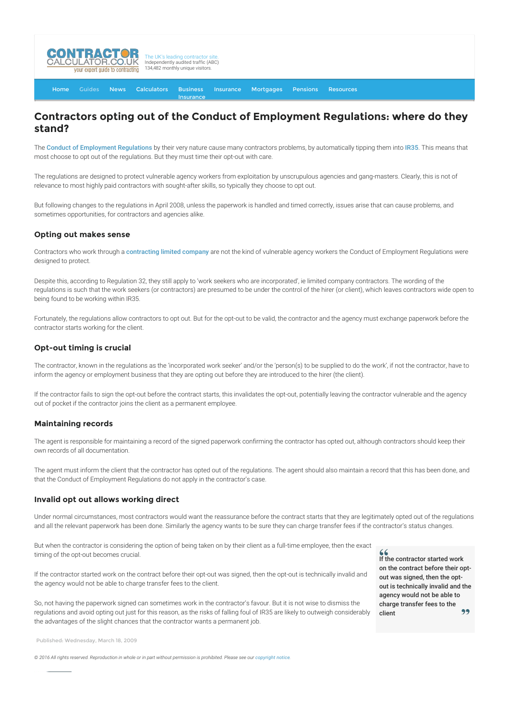

[Home](http://www.contractorcalculator.co.uk/) [Guides](http://www.contractorcalculator.co.uk/Articles.aspx) [News](http://www.contractorcalculator.co.uk/Contractor_News.aspx) [Calculators](http://www.contractorcalculator.co.uk/Calculators.aspx) Business [Insurance](http://www.contractorcalculator.co.uk/Insurance.aspx) [Mortgages](http://www.contractorcalculator.co.uk/Contractor_Mortgages.aspx) [Pensions](http://www.contractorcalculator.co.uk/Contractor_Pensions.aspx) [Resources](http://www.contractorcalculator.co.uk/Contractor_Resources.aspx)

**[Insurance](http://www.contractorcalculator.co.uk/Contractor_Insurances.aspx)** 

# **Contractors opting out of the Conduct of Employment Regulations: where do they stand?**

The [Conduct of Employment Regulations](http://www.legislation.gov.uk/uksi/2003/3319/contents/made) by their very nature cause many contractors problems, by automatically tipping them into [IR35](http://www.contractorcalculator.co.uk/ir35.aspx). This means that most choose to opt out of the regulations. But they must time their opt-out with care.

The regulations are designed to protect vulnerable agency workers from exploitation by unscrupulous agencies and gang-masters. Clearly, this is not of relevance to most highly paid contractors with sought-after skills, so typically they choose to opt out.

But following changes to the regulations in April 2008, unless the paperwork is handled and timed correctly, issues arise that can cause problems, and sometimes opportunities, for contractors and agencies alike.

## **Opting out makes sense**

Contractors who work through a [contracting limited company](http://www.contractorcalculator.co.uk/limited_companies.aspx) are not the kind of vulnerable agency workers the Conduct of Employment Regulations were designed to protect.

Despite this, according to Regulation 32, they still apply to 'work seekers who are incorporated', ie limited company contractors. The wording of the regulations is such that the work seekers (or contractors) are presumed to be under the control of the hirer (or client), which leaves contractors wide open to being found to be working within IR35.

Fortunately, the regulations allow contractors to opt out. But for the opt-out to be valid, the contractor and the agency must exchange paperwork before the contractor starts working for the client.

# **Opt-out timing is crucial**

The contractor, known in the regulations as the 'incorporated work seeker' and/or the 'person(s) to be supplied to do the work', if not the contractor, have to inform the agency or employment business that they are opting out before they are introduced to the hirer (the client).

If the contractor fails to sign the opt-out before the contract starts, this invalidates the opt-out, potentially leaving the contractor vulnerable and the agency out of pocket if the contractor joins the client as a permanent employee.

#### **Maintaining records**

The agent is responsible for maintaining a record of the signed paperwork confirming the contractor has opted out, although contractors should keep their own records of all documentation.

The agent must inform the client that the contractor has opted out of the regulations. The agent should also maintain a record that this has been done, and that the Conduct of Employment Regulations do not apply in the contractor's case.

## **Invalid opt out allows working direct**

Under normal circumstances, most contractors would want the reassurance before the contract starts that they are legitimately opted out of the regulations and all the relevant paperwork has been done. Similarly the agency wants to be sure they can charge transfer fees if the contractor's status changes.

But when the contractor is considering the option of being taken on by their client as a full-time employee, then the exact timing of the opt-out becomes crucial.

If the contractor started work on the contract before their opt-out was signed, then the opt-out is technically invalid and the agency would not be able to charge transfer fees to the client.

So, not having the paperwork signed can sometimes work in the contractor's favour. But it is not wise to dismiss the regulations and avoid opting out just for this reason, as the risks of falling foul of IR35 are likely to outweigh considerably the advantages of the slight chances that the contractor wants a permanent job.

Published: Wednesday, March 18, 2009

 $© 2016$  All rights reserved. Reproduction in whole or in part without permission is prohibited. Please see our [copyright notice](http://www.contractorcalculator.co.uk/copyright.aspx).

If the contractor started work on the contract before their optout was signed, then the optout is technically invalid and the agency would not be able to charge transfer fees to the 99 client